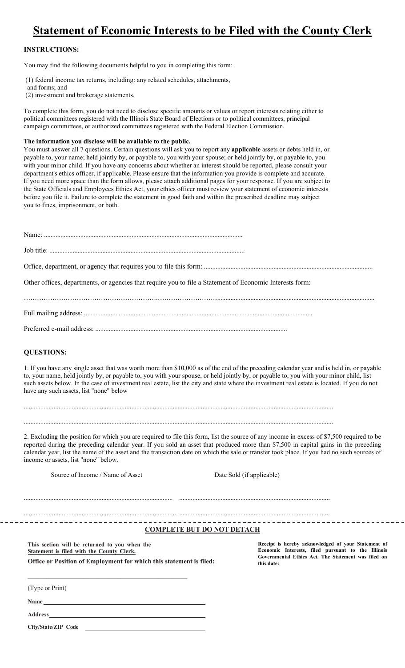## **Statement of Economic Interests to be Filed with the County Clerk**

## **INSTRUCTIONS:**

You may find the following documents helpful to you in completing this form:

(1) federal income tax returns, including: any related schedules, attachments,

- and forms; and
- (2) investment and brokerage statements.

To complete this form, you do not need to disclose specific amounts or values or report interests relating either to political committees registered with the Illinois State Board of Elections or to political committees, principal campaign committees, or authorized committees registered with the Federal Election Commission.

## **The information you disclose will be available to the public.**

You must answer all 7 questions. Certain questions will ask you to report any **applicable** assets or debts held in, or payable to, your name; held jointly by, or payable to, you with your spouse; or held jointly by, or payable to, you with your minor child. If you have any concerns about whether an interest should be reported, please consult your department's ethics officer, if applicable. Please ensure that the information you provide is complete and accurate. If you need more space than the form allows, please attach additional pages for your response. If you are subject to the State Officials and Employees Ethics Act, your ethics officer must review your statement of economic interests before you file it. Failure to complete the statement in good faith and within the prescribed deadline may subject you to fines, imprisonment, or both.

| Other offices, departments, or agencies that require you to file a Statement of Economic Interests form: |
|----------------------------------------------------------------------------------------------------------|
|                                                                                                          |
|                                                                                                          |

Preferred e-mail address: ...................................................................................................................

## **QUESTIONS:**

1. If you have any single asset that was worth more than \$10,000 as of the end of the preceding calendar year and is held in, or payable to, your name, held jointly by, or payable to, you with your spouse, or held jointly by, or payable to, you with your minor child, list such assets below. In the case of investment real estate, list the city and state where the investment real estate is located. If you do not have any such assets, list "none" below

...........................................................................................................................................................................................

...........................................................................................................................................................................................

2. Excluding the position for which you are required to file this form, list the source of any income in excess of \$7,500 required to be reported during the preceding calendar year. If you sold an asset that produced more than \$7,500 in capital gains in the preceding calendar year, list the name of the asset and the transaction date on which the sale or transfer took place. If you had no such sources of income or assets, list "none" below.

Source of Income / Name of Asset Date Sold (if applicable)

.......................................................................................... ...........................................................................................

............................................................................................ ...........................................................................................

**COMPLETE BUT DO NOT DETACH**

|  |  | This section will be returned to you when the                              |  |  |  |
|--|--|----------------------------------------------------------------------------|--|--|--|
|  |  | Statement is filed with the County Clerk.                                  |  |  |  |
|  |  | <b>Office or Position of Employment for which this statement is filed:</b> |  |  |  |

**Receipt is hereby acknowledged of your Statement of Economic Interests, filed pursuant to the Illinois Governmental Ethics Act. The Statement was filed on this date:** 

(Type or Print)

**Name** 

**Address** 

**City/State/ZIP Code**